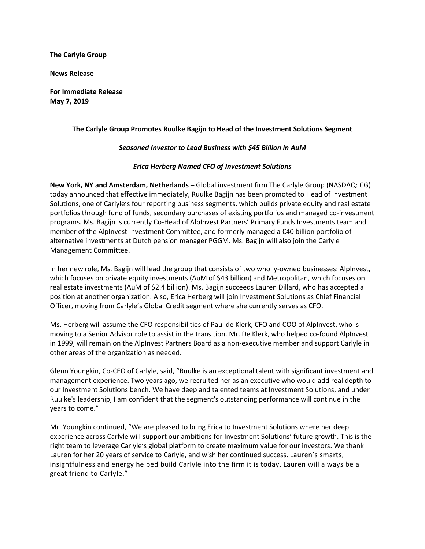**The Carlyle Group**

**News Release**

**For Immediate Release May 7, 2019**

### **The Carlyle Group Promotes Ruulke Bagijn to Head of the Investment Solutions Segment**

### *Seasoned Investor to Lead Business with \$45 Billion in AuM*

### *Erica Herberg Named CFO of Investment Solutions*

**New York, NY and Amsterdam, Netherlands** – Global investment firm The Carlyle Group (NASDAQ: CG) today announced that effective immediately, Ruulke Bagijn has been promoted to Head of Investment Solutions, one of Carlyle's four reporting business segments, which builds private equity and real estate portfolios through fund of funds, secondary purchases of existing portfolios and managed co-investment programs. Ms. Bagijn is currently Co-Head of AlpInvest Partners' Primary Funds Investments team and member of the AlpInvest Investment Committee, and formerly managed a €40 billion portfolio of alternative investments at Dutch pension manager PGGM. Ms. Bagijn will also join the Carlyle Management Committee.

In her new role, Ms. Bagijn will lead the group that consists of two wholly-owned businesses: AlpInvest, which focuses on private equity investments (AuM of \$43 billion) and Metropolitan, which focuses on real estate investments (AuM of \$2.4 billion). Ms. Bagijn succeeds Lauren Dillard, who has accepted a position at another organization. Also, Erica Herberg will join Investment Solutions as Chief Financial Officer, moving from Carlyle's Global Credit segment where she currently serves as CFO.

Ms. Herberg will assume the CFO responsibilities of Paul de Klerk, CFO and COO of AlpInvest, who is moving to a Senior Advisor role to assist in the transition. Mr. De Klerk, who helped co-found AlpInvest in 1999, will remain on the AlpInvest Partners Board as a non-executive member and support Carlyle in other areas of the organization as needed.

Glenn Youngkin, Co-CEO of Carlyle, said, "Ruulke is an exceptional talent with significant investment and management experience. Two years ago, we recruited her as an executive who would add real depth to our Investment Solutions bench. We have deep and talented teams at Investment Solutions, and under Ruulke's leadership, I am confident that the segment's outstanding performance will continue in the years to come."

Mr. Youngkin continued, "We are pleased to bring Erica to Investment Solutions where her deep experience across Carlyle will support our ambitions for Investment Solutions' future growth. This is the right team to leverage Carlyle's global platform to create maximum value for our investors. We thank Lauren for her 20 years of service to Carlyle, and wish her continued success. Lauren's smarts, insightfulness and energy helped build Carlyle into the firm it is today. Lauren will always be a great friend to Carlyle."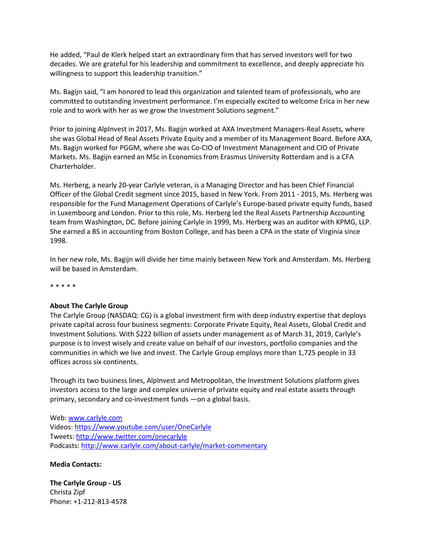He added, "Paul de Klerk helped start an extraordinary firm that has served investors well for two decades. We are grateful for his leadership and commitment to excellence, and deeply appreciate his willingness to support this leadership transition."

Ms. Bagijn said, "I am honored to lead this organization and talented team of professionals, who are committed to outstanding investment performance. I'm especially excited to welcome Erica in her new role and to work with her as we grow the Investment Solutions segment."

Prior to joining AlpInvest in 2017, Ms. Bagijn worked at AXA Investment Managers-Real Assets*,* where she was Global Head of Real Assets Private Equity and a member of its Management Board. Before AXA, Ms. Bagijn worked for PGGM, where she was Co-CIO of Investment Management and CIO of Private Markets. Ms. Bagijn earned an MSc in Economics from Erasmus University Rotterdam and is a CFA Charterholder.

Ms. Herberg, a nearly 20-year Carlyle veteran, is a Managing Director and has been Chief Financial Officer of the Global Credit segment since 2015, based in New York. From 2011 - 2015, Ms. Herberg was responsible for the Fund Management Operations of Carlyle's Europe-based private equity funds, based in Luxembourg and London. Prior to this role, Ms. Herberg led the Real Assets Partnership Accounting team from Washington, DC. Before joining Carlyle in 1999, Ms. Herberg was an auditor with KPMG, LLP. She earned a BS in accounting from Boston College, and has been a CPA in the state of Virginia since 1998.

In her new role, Ms. Bagijn will divide her time mainly between New York and Amsterdam. Ms. Herberg will be based in Amsterdam.

\* \* \* \* \*

#### **About The Carlyle Group**

The Carlyle Group (NASDAQ: CG) is a global investment firm with deep industry expertise that deploys private capital across four business segments: Corporate Private Equity, Real Assets, Global Credit and Investment Solutions. With \$222 billion of assets under management as of March 31, 2019, Carlyle's purpose is to invest wisely and create value on behalf of our investors, portfolio companies and the communities in which we live and invest. The Carlyle Group employs more than 1,725 people in 33 offices across six continents.

Through its two business lines, AlpInvest and Metropolitan, the Investment Solutions platform gives investors access to the large and complex universe of private equity and real estate assets through primary, secondary and co-investment funds —on a global basis.

Web[: www.carlyle.com](http://www.carlyle.com/) Videos[: https://www.youtube.com/user/OneCarlyle](https://www.youtube.com/user/OneCarlyle) Tweets[: http://www.twitter.com/onecarlyle](http://www.twitter.com/onecarlyle) Podcasts:<http://www.carlyle.com/about-carlyle/market-commentary>

#### **Media Contacts:**

**The Carlyle Group - US** Christa Zipf Phone: +1-212-813-4578